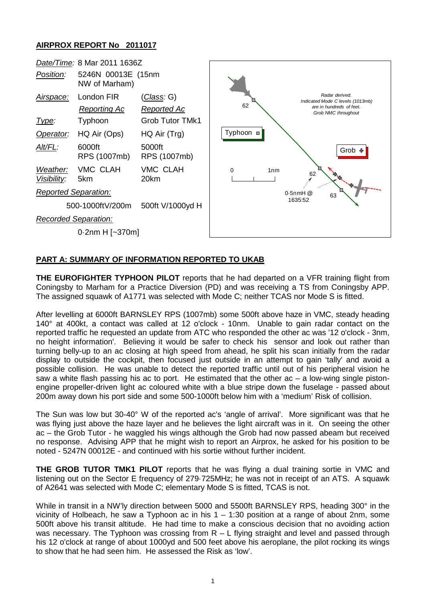## **AIRPROX REPORT No 2011017**



## **PART A: SUMMARY OF INFORMATION REPORTED TO UKAB**

**THE EUROFIGHTER TYPHOON PILOT** reports that he had departed on a VFR training flight from Coningsby to Marham for a Practice Diversion (PD) and was receiving a TS from Coningsby APP. The assigned squawk of A1771 was selected with Mode C; neither TCAS nor Mode S is fitted.

After levelling at 6000ft BARNSLEY RPS (1007mb) some 500ft above haze in VMC, steady heading 140° at 400kt, a contact was called at 12 o'clock - 10nm. Unable to gain radar contact on the reported traffic he requested an update from ATC who responded the other ac was '12 o'clock - 3nm, no height information'. Believing it would be safer to check his sensor and look out rather than turning belly-up to an ac closing at high speed from ahead, he split his scan initially from the radar display to outside the cockpit, then focused just outside in an attempt to gain 'tally' and avoid a possible collision. He was unable to detect the reported traffic until out of his peripheral vision he saw a white flash passing his ac to port. He estimated that the other ac – a low-wing single pistonengine propeller-driven light ac coloured white with a blue stripe down the fuselage - passed about 200m away down his port side and some 500-1000ft below him with a 'medium' Risk of collision.

The Sun was low but 30-40° W of the reported ac's 'angle of arrival'. More significant was that he was flying just above the haze layer and he believes the light aircraft was in it. On seeing the other ac – the Grob Tutor - he waggled his wings although the Grob had now passed abeam but received no response. Advising APP that he might wish to report an Airprox, he asked for his position to be noted - 5247N 00012E - and continued with his sortie without further incident.

**THE GROB TUTOR TMK1 PILOT** reports that he was flying a dual training sortie in VMC and listening out on the Sector E frequency of 279·725MHz; he was not in receipt of an ATS. A squawk of A2641 was selected with Mode C; elementary Mode S is fitted, TCAS is not.

While in transit in a NW'ly direction between 5000 and 5500ft BARNSLEY RPS, heading 300° in the vicinity of Holbeach, he saw a Typhoon ac in his  $1 - 1:30$  position at a range of about 2nm, some 500ft above his transit altitude. He had time to make a conscious decision that no avoiding action was necessary. The Typhoon was crossing from R – L flying straight and level and passed through his 12 o'clock at range of about 1000yd and 500 feet above his aeroplane, the pilot rocking its wings to show that he had seen him. He assessed the Risk as 'low'.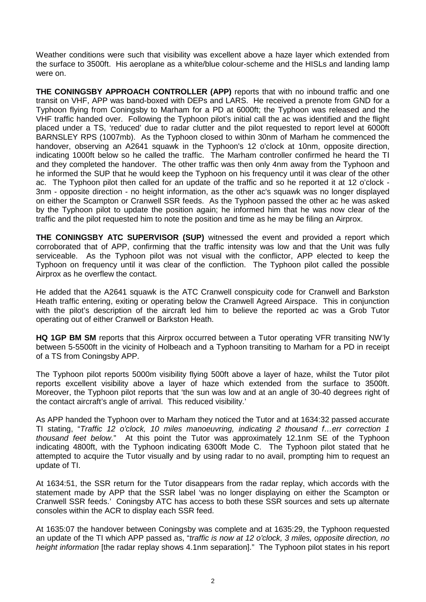Weather conditions were such that visibility was excellent above a haze layer which extended from the surface to 3500ft. His aeroplane as a white/blue colour-scheme and the HISLs and landing lamp were on.

**THE CONINGSBY APPROACH CONTROLLER (APP)** reports that with no inbound traffic and one transit on VHF, APP was band-boxed with DEPs and LARS. He received a prenote from GND for a Typhoon flying from Coningsby to Marham for a PD at 6000ft; the Typhoon was released and the VHF traffic handed over. Following the Typhoon pilot's initial call the ac was identified and the flight placed under a TS, 'reduced' due to radar clutter and the pilot requested to report level at 6000ft BARNSLEY RPS (1007mb). As the Typhoon closed to within 30nm of Marham he commenced the handover, observing an A2641 squawk in the Typhoon's 12 o'clock at 10nm, opposite direction, indicating 1000ft below so he called the traffic. The Marham controller confirmed he heard the TI and they completed the handover. The other traffic was then only 4nm away from the Typhoon and he informed the SUP that he would keep the Typhoon on his frequency until it was clear of the other ac. The Typhoon pilot then called for an update of the traffic and so he reported it at 12 o'clock - 3nm - opposite direction - no height information, as the other ac's squawk was no longer displayed on either the Scampton or Cranwell SSR feeds. As the Typhoon passed the other ac he was asked by the Typhoon pilot to update the position again; he informed him that he was now clear of the traffic and the pilot requested him to note the position and time as he may be filing an Airprox.

**THE CONINGSBY ATC SUPERVISOR (SUP)** witnessed the event and provided a report which corroborated that of APP, confirming that the traffic intensity was low and that the Unit was fully serviceable. As the Typhoon pilot was not visual with the conflictor, APP elected to keep the Typhoon on frequency until it was clear of the confliction. The Typhoon pilot called the possible Airprox as he overflew the contact.

He added that the A2641 squawk is the ATC Cranwell conspicuity code for Cranwell and Barkston Heath traffic entering, exiting or operating below the Cranwell Agreed Airspace. This in conjunction with the pilot's description of the aircraft led him to believe the reported ac was a Grob Tutor operating out of either Cranwell or Barkston Heath.

**HQ 1GP BM SM** reports that this Airprox occurred between a Tutor operating VFR transiting NW'ly between 5-5500ft in the vicinity of Holbeach and a Typhoon transiting to Marham for a PD in receipt of a TS from Coningsby APP.

The Typhoon pilot reports 5000m visibility flying 500ft above a layer of haze, whilst the Tutor pilot reports excellent visibility above a layer of haze which extended from the surface to 3500ft. Moreover, the Typhoon pilot reports that 'the sun was low and at an angle of 30-40 degrees right of the contact aircraft's angle of arrival. This reduced visibility.'

As APP handed the Typhoon over to Marham they noticed the Tutor and at 1634:32 passed accurate TI stating, "*Traffic 12 o'clock, 10 miles manoeuvring, indicating 2 thousand f…err correction 1 thousand feet below.*" At this point the Tutor was approximately 12.1nm SE of the Typhoon indicating 4800ft, with the Typhoon indicating 6300ft Mode C. The Typhoon pilot stated that he attempted to acquire the Tutor visually and by using radar to no avail, prompting him to request an update of TI.

At 1634:51, the SSR return for the Tutor disappears from the radar replay, which accords with the statement made by APP that the SSR label 'was no longer displaying on either the Scampton or Cranwell SSR feeds.' Coningsby ATC has access to both these SSR sources and sets up alternate consoles within the ACR to display each SSR feed.

At 1635:07 the handover between Coningsby was complete and at 1635:29, the Typhoon requested an update of the TI which APP passed as, "*traffic is now at 12 o'clock, 3 miles, opposite direction, no height information* [the radar replay shows 4.1nm separation]." The Typhoon pilot states in his report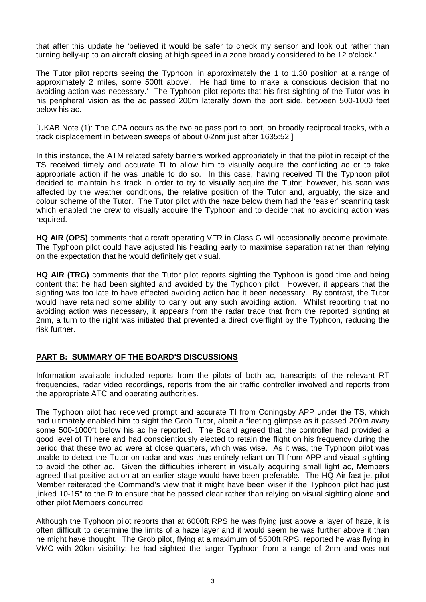that after this update he 'believed it would be safer to check my sensor and look out rather than turning belly-up to an aircraft closing at high speed in a zone broadly considered to be 12 o'clock.'

The Tutor pilot reports seeing the Typhoon 'in approximately the 1 to 1.30 position at a range of approximately 2 miles, some 500ft above'. He had time to make a conscious decision that no avoiding action was necessary.' The Typhoon pilot reports that his first sighting of the Tutor was in his peripheral vision as the ac passed 200m laterally down the port side, between 500-1000 feet below his ac.

[UKAB Note (1): The CPA occurs as the two ac pass port to port, on broadly reciprocal tracks, with a track displacement in between sweeps of about 0·2nm just after 1635:52.]

In this instance, the ATM related safety barriers worked appropriately in that the pilot in receipt of the TS received timely and accurate TI to allow him to visually acquire the conflicting ac or to take appropriate action if he was unable to do so. In this case, having received TI the Typhoon pilot decided to maintain his track in order to try to visually acquire the Tutor; however, his scan was affected by the weather conditions, the relative position of the Tutor and, arguably, the size and colour scheme of the Tutor. The Tutor pilot with the haze below them had the 'easier' scanning task which enabled the crew to visually acquire the Typhoon and to decide that no avoiding action was required.

**HQ AIR (OPS)** comments that aircraft operating VFR in Class G will occasionally become proximate. The Typhoon pilot could have adjusted his heading early to maximise separation rather than relying on the expectation that he would definitely get visual.

**HQ AIR (TRG)** comments that the Tutor pilot reports sighting the Typhoon is good time and being content that he had been sighted and avoided by the Typhoon pilot. However, it appears that the sighting was too late to have effected avoiding action had it been necessary. By contrast, the Tutor would have retained some ability to carry out any such avoiding action. Whilst reporting that no avoiding action was necessary, it appears from the radar trace that from the reported sighting at 2nm, a turn to the right was initiated that prevented a direct overflight by the Typhoon, reducing the risk further.

## **PART B: SUMMARY OF THE BOARD'S DISCUSSIONS**

Information available included reports from the pilots of both ac, transcripts of the relevant RT frequencies, radar video recordings, reports from the air traffic controller involved and reports from the appropriate ATC and operating authorities.

The Typhoon pilot had received prompt and accurate TI from Coningsby APP under the TS, which had ultimately enabled him to sight the Grob Tutor, albeit a fleeting glimpse as it passed 200m away some 500-1000ft below his ac he reported. The Board agreed that the controller had provided a good level of TI here and had conscientiously elected to retain the flight on his frequency during the period that these two ac were at close quarters, which was wise. As it was, the Typhoon pilot was unable to detect the Tutor on radar and was thus entirely reliant on TI from APP and visual sighting to avoid the other ac. Given the difficulties inherent in visually acquiring small light ac, Members agreed that positive action at an earlier stage would have been preferable. The HQ Air fast jet pilot Member reiterated the Command's view that it might have been wiser if the Typhoon pilot had just jinked 10-15° to the R to ensure that he passed clear rather than relying on visual sighting alone and other pilot Members concurred.

Although the Typhoon pilot reports that at 6000ft RPS he was flying just above a layer of haze, it is often difficult to determine the limits of a haze layer and it would seem he was further above it than he might have thought. The Grob pilot, flying at a maximum of 5500ft RPS, reported he was flying in VMC with 20km visibility; he had sighted the larger Typhoon from a range of 2nm and was not